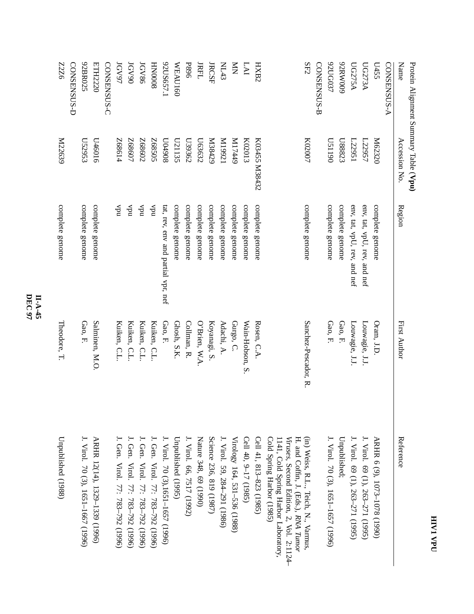| Protein Alignment Summary Table (Vpu) |                   |                                    |                      |                                                                                                               |
|---------------------------------------|-------------------|------------------------------------|----------------------|---------------------------------------------------------------------------------------------------------------|
| Name                                  | Accession No.     | Region                             | First Author         | Reference                                                                                                     |
| <b>CONSENSUS-A</b>                    |                   |                                    |                      |                                                                                                               |
| L455                                  | M62320            | complete genome                    | Oram, J.D            | ARHR 6 (9), 1073-1078 (1990)                                                                                  |
| <b>UG273A</b>                         | L22957            | env, tat, vpU, rev, and nef        | Louwagie, J.J.       | J. Virol. 69 (1), 263–271 (1995)                                                                              |
| <b>UG275A</b>                         | 122951            | env, tat, vpU, rev, and nef        | Louwagie, J.J        | J. Virol. 69 (1), 263-271 (1995)                                                                              |
| 600MN76                               | L88823            | complete genome                    | Gao, F.              | Unpublished;                                                                                                  |
| 92UG037                               | 06115D            | complete genome                    | Gao, F.              | J. Virol. 70 (3), 1651-1657 (1996)                                                                            |
| CONSENSUS-B                           |                   |                                    |                      |                                                                                                               |
| SF2                                   | K02007            | complete genome                    | Sanchez-Pescador, R. | (in) Weiss, R.L., Teich, N., Varmus,<br>H. and Coffin, J. (Eds.), RNA Tumo                                    |
|                                       |                   |                                    |                      | Cold Spring Harbor (1985)<br>Viruses, Second Edition, 2, Vol. 2:1124-<br>1141, Cold Spring Harbor Laboratory, |
| HXB2                                  | K03455 M38432     | complete genome                    | Rosen, C.A           | Cell 41, 813-823 (1985)                                                                                       |
| LAI                                   | K02013            | complete genome                    | Wain-Hobson, S.      | Cell 40, 9-17 (1985)                                                                                          |
| $\mathop{\bf{X}}$                     | 6ttLIM            | complete genome                    | Gurgo, C.            | Virology 164, 531-536 (1988)                                                                                  |
| <b>NL43</b>                           | IZ661M            | complete genome                    | Adachi, A.           | J. Virol. 59, 284-291 (1986)                                                                                  |
| <b>JRCSF</b>                          | N38429            | complete genome                    | Koyanagi, S.         | Science 236, 819 (1987)                                                                                       |
| <b>JRFL</b>                           | L63632            | complete genome                    | O'Brien, W.A.        | Nature 348, 69 (1990)                                                                                         |
| <b>P896</b>                           | L39362            | complete genome                    | Collman, R.          | J. Virol. 66, 7517 (1992)                                                                                     |
| <b>WEAU160</b>                        | L21135            | complete genome                    | Ghosh, S.K.          | Unpublished (1995)                                                                                            |
| 92US657.1                             | 806+00            | tat, rev, env and partial vpr, nef | Gao, F.              | J. Virol. 70 (3),1651–1657 (1996)                                                                             |
| <b>HIN0008</b>                        | S0S89Z            | ndA                                | Kuiken, C.L          | J. Gen. Virol. 77: 783-792 (1996)                                                                             |
| <b>JGV86</b>                          | Z0989Z            | ndA                                | Kuiken, C.L.         | J. Gen. Virol. 77: 783–792 (1996)                                                                             |
| <b>IGV90</b>                          | Z68607            | ndA                                | Kuiken, C.L.         | J. Gen. Virol. 77: 783-792 (1996)                                                                             |
| <b>JGV97</b>                          | F <sub>8814</sub> | ndA                                | Kuiken, C.L          | J. Gen. Virol. 77: 783–792 (1996)                                                                             |
| CONSENSUS-C                           |                   |                                    |                      |                                                                                                               |
| ETH2220                               | U46016            | complete genome                    | Salminen, M.O.       | ARHR 12(14), 1329-1339 (1996)                                                                                 |
| 92BR025                               | L52953            | complete genome                    | Gao, F.              | J. Virol. 70 (3), 1651-1667 (1996)                                                                            |
| CONSENSUS-D                           |                   |                                    |                      |                                                                                                               |
| 9ZZZ                                  | M22639            | complete genome                    | Theodore, T.         | Unpublished (1988)                                                                                            |
|                                       |                   |                                    |                      |                                                                                                               |

## **DEC 97 II-A-45**

## **HIV1 VPU**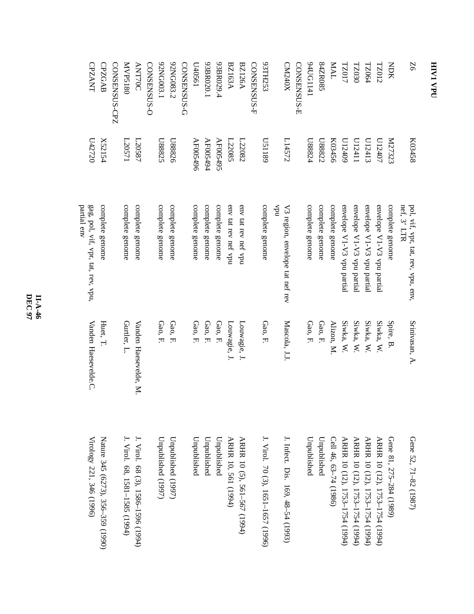| 50             | K03458   | nef, 3' LTR<br>pol, vif, vpr, tat, rev, vpu, env, | Srinivasan, A.        | Gene 52, 71-82 (1987)              |
|----------------|----------|---------------------------------------------------|-----------------------|------------------------------------|
| <b>NOK</b>     | K27323   | complete genome                                   | Spire, B.             | Gene 81, 275-284 (1989)            |
| <b>TZ012</b>   | L0407    | envelope V1-V3 vpu partial                        | Siwka, W.             | ARHR 10 (12), 1753-1754 (1994)     |
| <b>TZ064</b>   | U12413   | envelope V1-V3 vpu partial                        | Siwka, W.             | ARHR 10 (12), 1753-1754 (1994)     |
| <b>TZ030</b>   | U12411   | envelope V1-V3 vpu partial                        | Siwka, W.             | ARHR 10 (12), 1753-1754 (1994)     |
| TZ017          | L12409   | envelope V1-V3 vpu partial                        | Siwka, W.             | ARHR 10 (12), 1753-1754 (1994)     |
| <b>IVM</b>     | K03456   | complete genome                                   | Alizon, M             | Cell 46, 63-74 (1986)              |
| S4ZR085        | L88822   | complete genome                                   | Gao, F.               | Unpublished                        |
| 94UG1141       | L88824   | complete genome                                   | Gao, F.               | Unpublished                        |
| CONSENSUS-E    |          |                                                   |                       |                                    |
| CM240X         | L14572   | ndA<br>V3 region, envelope tat nef rev            | Mascola, J.J.         | J. Infect. Dis. 169, 48–54 (1993)  |
| 93TH253        | 6811SQ   | complete genome                                   | Gao, F.               | J. Virol. 70 (3), 1651-1657 (1996) |
| CONSENSUS-F    |          |                                                   |                       |                                    |
| <b>BZ126A</b>  | L22082   | env tat rev nef vpu                               | Louwagie, J.          | ARHR 10 (5), 561-567 (1994)        |
| <b>BZ163A</b>  | L22085   | env tat rev nef vpu                               | Louwagie, J.          | ARHR 10, 561 (1994)                |
| 93BR029.4      | AF005495 | complete genome                                   | Gao, F.               | Unpublished                        |
| 93BR020.1      | AF005494 | complete genome                                   | Gao, F.               | Unpublished                        |
| L40561         | AF005496 | complete genome                                   | Gao, F.               | Unpublished                        |
| CONSENSUS-G    |          |                                                   |                       |                                    |
| 92NG083.2      | U88826   | complete genome                                   | Gao, F.               | Unpublished (1997)                 |
| 92NG003.1      | L88825   | complete genome                                   | Gao, F.               | Unpublished (1997)                 |
| CONSENSUS-O    |          |                                                   |                       |                                    |
| <b>ANT70C</b>  | L20587   | complete genome                                   | Vanden Haesevelde, M. | J. Virol. 68 (3), 1586–1596 (1994) |
| <b>MVP5180</b> | L20571   | complete genome                                   | Gurtler, L.           | J. Virol. 68, 1581–1585 (1994)     |
| CONSENSUS-CPZ  |          |                                                   |                       |                                    |
| <b>CPZGAB</b>  | X52154   | complete genome                                   | Huet, T.              | Nature 345 (6273), 356–359 (1990)  |
| <b>CPZANT</b>  | 022250   | gag, pol, vif, vpr, tat, rev, vpu,<br>partial env | Vanden Haesevelde.C.  | Virology 221, 346 (1996)           |
|                |          |                                                   |                       |                                    |

**HIV1**

 **VPU**

**DEC 97 II-A-46**